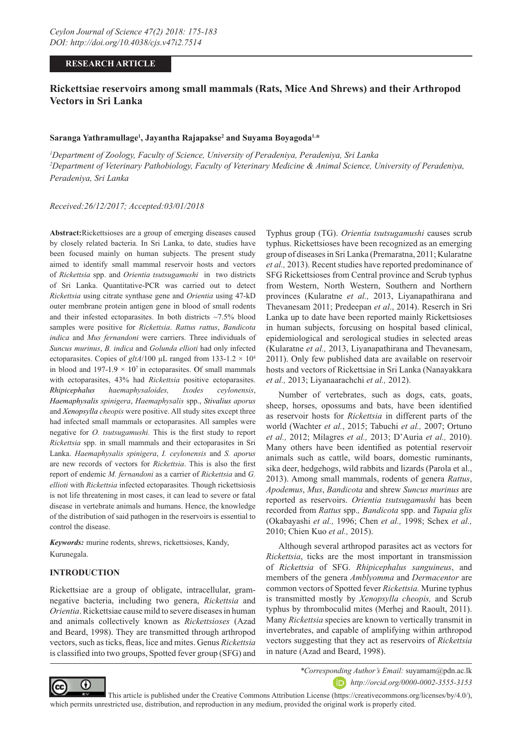## **RESEARCH ARTICLE**

# **Rickettsiae reservoirs among small mammals (Rats, Mice And Shrews) and their Arthropod Vectors in Sri Lanka**

### **Saranga Yathramullage1 , Jayantha Rajapakse2 and Suyama Boyagoda1,\***

*1 Department of Zoology, Faculty of Science, University of Peradeniya, Peradeniya, Sri Lanka 2 Department of Veterinary Pathobiology, Faculty of Veterinary Medicine & Animal Science, University of Peradeniya, Peradeniya, Sri Lanka*

*Received:26/12/2017; Accepted:03/01/2018*

**Abstract:**Rickettsioses are a group of emerging diseases caused by closely related bacteria. In Sri Lanka, to date, studies have been focused mainly on human subjects. The present study aimed to identify small mammal reservoir hosts and vectors of *Rickettsia* spp. and *Orientia tsutsugamushi* in two districts of Sri Lanka. Quantitative-PCR was carried out to detect *Rickettsia* using citrate synthase gene and *Orientia* using 47-kD outer membrane protein antigen gene in blood of small rodents and their infested ectoparasites. In both districts  $\sim$ 7.5% blood samples were positive for *Rickettsia*. *Rattus rattus*, *Bandicota indica* and *Mus fernandoni* were carriers. Three individuals of *Suncus murinus*, *B. indica* and *Golunda ellioti* had only infected ectoparasites. Copies of  $gltA/100 \mu L$  ranged from 133-1.2  $\times$  10<sup>4</sup> in blood and  $197-1.9 \times 10^7$  in ectoparasites. Of small mammals with ectoparasites, 43% had *Rickettsia* positive ectoparasites. *Rhipicephalus haemaphysaloides, Ixodes ceylonensis*, *Haemaphysalis spinigera*, *Haemaphysalis* spp., *Stivalius aporus* and *Xenopsylla cheopis* were positive. All study sites except three had infected small mammals or ectoparasites. All samples were negative for *O. tsutsugamushi.* This is the first study to report *Rickettsia* spp. in small mammals and their ectoparasites in Sri Lanka. *Haemaphysalis spinigera*, *I. ceylonensis* and *S. aporus* are new records of vectors for *Rickettsia*. This is also the first report of endemic *M. fernandoni* as a carrier of *Rickettsia* and *G. ellioti* with *Rickettsia* infected ectoparasites*.* Though rickettsiosis is not life threatening in most cases, it can lead to severe or fatal disease in vertebrate animals and humans. Hence, the knowledge of the distribution of said pathogen in the reservoirs is essential to control the disease.

*Keywords:* murine rodents, shrews, rickettsioses, Kandy, Kurunegala.

## **INTRODUCTION**

Rickettsiae are a group of obligate, intracellular, gramnegative bacteria, including two genera, *Rickettsia* and *Orientia*. Rickettsiae cause mild to severe diseases in human and animals collectively known as *Rickettsioses* (Azad and Beard, 1998). They are transmitted through arthropod vectors, such as ticks, fleas, lice and mites. Genus *Rickettsia* is classified into two groups, Spotted fever group (SFG) and Typhus group (TG). *Orientia tsutsugamushi* causes scrub typhus. Rickettsioses have been recognized as an emerging group of diseases in Sri Lanka (Premaratna, 2011; Kularatne *et al.,* 2013). Recent studies have reported predominance of SFG Rickettsioses from Central province and Scrub typhus from Western, North Western, Southern and Northern provinces (Kularatne *et al.,* 2013, Liyanapathirana and Thevanesam 2011; Predeepan *et al*., 2014). Reserch in Sri Lanka up to date have been reported mainly Rickettsioses in human subjects, forcusing on hospital based clinical, epidemiological and serological studies in selected areas (Kularatne *et al.,* 2013, Liyanapathirana and Thevanesam, 2011). Only few published data are available on reservoir hosts and vectors of Rickettsiae in Sri Lanka (Nanayakkara *et al.,* 2013; Liyanaarachchi *et al.,* 2012).

Number of vertebrates, such as dogs, cats, goats, sheep, horses, opossums and bats, have been identified as reservoir hosts for *Rickettsia* in different parts of the world (Wachter *et al.*, 2015; Tabuchi *et al.,* 2007; Ortuno *et al.,* 2012; Milagres *et al.,* 2013; D'Auria *et al.,* 2010). Many others have been identified as potential reservoir animals such as cattle, wild boars, domestic ruminants, sika deer, hedgehogs, wild rabbits and lizards (Parola et al., 2013). Among small mammals, rodents of genera *Rattus*, *Apodemus*, *Mus*, *Bandicota* and shrew *Suncus murinus* are reported as reservoirs. *Orientia tsutsugamushi* has been recorded from *Rattus* spp.*, Bandicota* spp. and *Tupaia glis* (Okabayashi *et al.,* 1996; Chen *et al.,* 1998; Schex *et al.,* 2010; Chien Kuo *et al.,* 2015).

Although several arthropod parasites act as vectors for *Rickettsia*, ticks are the most important in transmission of *Rickettsia* of SFG. *Rhipicephalus sanguineus*, and members of the genera *Amblyomma* and *Dermacentor* are common vectors of Spotted fever *Rickettsia.* Murine typhus is transmitted mostly by *Xenopsylla cheopis,* and Scrub typhus by thromboculid mites (Merhej and Raoult, 2011). Many *Rickettsia* species are known to vertically transmit in invertebrates, and capable of amplifying within arthropod vectors suggesting that they act as reservoirs of *Rickettsia* in nature (Azad and Beard, 1998).



*\*Corresponding Author's Email:* suyamam@pdn.ac.lk

*http://orcid.org/0000-0002-3555-3153*

 This article is published under the Creative Commons Attribution License (https://creativecommons.org/licenses/by/4.0/), which permits unrestricted use, distribution, and reproduction in any medium, provided the original work is properly cited.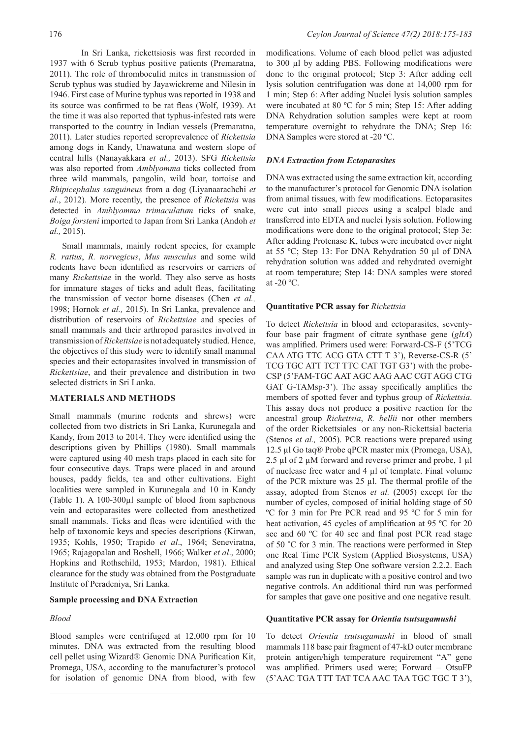In Sri Lanka, rickettsiosis was first recorded in 1937 with 6 Scrub typhus positive patients (Premaratna, 2011). The role of thromboculid mites in transmission of Scrub typhus was studied by Jayawickreme and Nilesin in 1946. First case of Murine typhus was reported in 1938 and its source was confirmed to be rat fleas (Wolf, 1939). At the time it was also reported that typhus-infested rats were transported to the country in Indian vessels (Premaratna, 2011). Later studies reported seroprevalence of *Rickettsia* among dogs in Kandy, Unawatuna and western slope of central hills (Nanayakkara *et al.,* 2013). SFG *Rickettsia* was also reported from *Amblyomma* ticks collected from three wild mammals, pangolin, wild boar, tortoise and *Rhipicephalus sanguineus* from a dog (Liyanaarachchi *et al*., 2012). More recently, the presence of *Rickettsia* was detected in *Amblyomma trimaculatum* ticks of snake, *Boiga forsteni* imported to Japan from Sri Lanka (Andoh *et al.,* 2015).

Small mammals, mainly rodent species, for example *R. rattus*, *R. norvegicus*, *Mus musculus* and some wild rodents have been identified as reservoirs or carriers of many *Rickettsiae* in the world. They also serve as hosts for immature stages of ticks and adult fleas, facilitating the transmission of vector borne diseases (Chen *et al.,* 1998; Hornok *et al.,* 2015). In Sri Lanka, prevalence and distribution of reservoirs of *Rickettsiae* and species of small mammals and their arthropod parasites involved in transmission of *Rickettsiae* is not adequately studied. Hence, the objectives of this study were to identify small mammal species and their ectoparasites involved in transmission of *Rickettsiae*, and their prevalence and distribution in two selected districts in Sri Lanka.

## **MATERIALS AND METHODS**

Small mammals (murine rodents and shrews) were collected from two districts in Sri Lanka, Kurunegala and Kandy, from 2013 to 2014. They were identified using the descriptions given by Phillips (1980). Small mammals were captured using 40 mesh traps placed in each site for four consecutive days. Traps were placed in and around houses, paddy fields, tea and other cultivations. Eight localities were sampled in Kurunegala and 10 in Kandy (Table 1). A 100-300µl sample of blood from saphenous vein and ectoparasites were collected from anesthetized small mammals. Ticks and fleas were identified with the help of taxonomic keys and species descriptions (Kirwan, 1935; Kohls, 1950; Trapido *et al*., 1964; Seneviratna, 1965; Rajagopalan and Boshell, 1966; Walker *et al*., 2000; Hopkins and Rothschild, 1953; Mardon, 1981). Ethical clearance for the study was obtained from the Postgraduate Institute of Peradeniya, Sri Lanka.

### **Sample processing and DNA Extraction**

### *Blood*

Blood samples were centrifuged at 12,000 rpm for 10 minutes. DNA was extracted from the resulting blood cell pellet using Wizard® Genomic DNA Purification Kit, Promega, USA, according to the manufacturer's protocol for isolation of genomic DNA from blood, with few modifications. Volume of each blood pellet was adjusted to 300 µl by adding PBS. Following modifications were done to the original protocol; Step 3: After adding cell lysis solution centrifugation was done at 14,000 rpm for 1 min; Step 6: After adding Nuclei lysis solution samples were incubated at 80 ºC for 5 min; Step 15: After adding DNA Rehydration solution samples were kept at room temperature overnight to rehydrate the DNA; Step 16: DNA Samples were stored at -20 ºC.

#### *DNA Extraction from Ectoparasites*

DNA was extracted using the same extraction kit, according to the manufacturer's protocol for Genomic DNA isolation from animal tissues, with few modifications. Ectoparasites were cut into small pieces using a scalpel blade and transferred into EDTA and nuclei lysis solution. Following modifications were done to the original protocol; Step 3e: After adding Protenase K, tubes were incubated over night at 55 ºC; Step 13: For DNA Rehydration 50 µl of DNA rehydration solution was added and rehydrated overnight at room temperature; Step 14: DNA samples were stored at -20 ºC.

#### **Quantitative PCR assay for** *Rickettsia*

To detect *Rickettsia* in blood and ectoparasites, seventyfour base pair fragment of citrate synthase gene (*gltA*) was amplified. Primers used were: Forward-CS-F (5'TCG CAA ATG TTC ACG GTA CTT T 3'), Reverse-CS-R (5' TCG TGC ATT TCT TTC CAT TGT G3') with the probe-CSP (5'FAM-TGC AAT AGC AAG AAC CGT AGG CTG GAT G-TAMsp-3'). The assay specifically amplifies the members of spotted fever and typhus group of *Rickettsia*. This assay does not produce a positive reaction for the ancestral group *Rickettsia*, *R. bellii* nor other members of the order Rickettsiales or any non-Rickettsial bacteria (Stenos *et al.,* 2005). PCR reactions were prepared using 12.5 µl Go taq® Probe qPCR master mix (Promega, USA), 2.5 µl of 2 µM forward and reverse primer and probe, 1 µl of nuclease free water and 4 µl of template. Final volume of the PCR mixture was  $25 \mu$ . The thermal profile of the assay, adopted from Stenos *et al.* (2005) except for the number of cycles, composed of initial holding stage of 50 ºC for 3 min for Pre PCR read and 95 ºC for 5 min for heat activation, 45 cycles of amplification at 95 °C for 20 sec and 60 °C for 40 sec and final post PCR read stage of 50 ˚C for 3 min. The reactions were performed in Step one Real Time PCR System (Applied Biosystems, USA) and analyzed using Step One software version 2.2.2. Each sample was run in duplicate with a positive control and two negative controls. An additional third run was performed for samples that gave one positive and one negative result.

#### **Quantitative PCR assay for** *Orientia tsutsugamushi*

To detect *Orientia tsutsugamushi* in blood of small mammals 118 base pair fragment of 47-kD outer membrane protein antigen/high temperature requirement "A" gene was amplified. Primers used were; Forward – OtsuFP (5'AAC TGA TTT TAT TCA AAC TAA TGC TGC T 3'),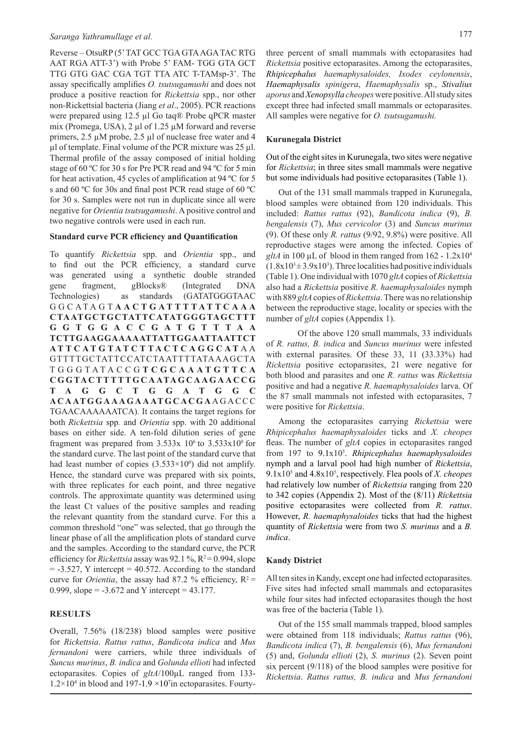Reverse – OtsuRP (5' TAT GCC TGA GTA AGA TAC RTG AAT RGA ATT-3') with Probe 5' FAM- TGG GTA GCT TTG GTG GAC CGA TGT TTA ATC T-TAMsp-3'. The assay specifically amplifies *O. tsutsugamushi* and does not produce a positive reaction for *Rickettsia* spp., nor other non-Rickettsial bacteria (Jiang *et al*., 2005). PCR reactions were prepared using 12.5 µl Go taq® Probe qPCR master mix (Promega, USA), 2 µl of 1.25 µM forward and reverse primers, 2.5 µM probe, 2.5 µl of nuclease free water and 4  $\mu$ l of template. Final volume of the PCR mixture was 25  $\mu$ l. Thermal profile of the assay composed of initial holding stage of 60 ºC for 30 s for Pre PCR read and 94 ºC for 5 min for heat activation, 45 cycles of amplification at 94 ºC for 5 s and 60 ºC for 30s and final post PCR read stage of 60 ºC for 30 s. Samples were not run in duplicate since all were negative for *Orientia tsutsugamushi*. A positive control and two negative controls were used in each run.

### **Standard curve PCR efficiency and Quantification**

To quantify *Rickettsia* spp. and *Orientia* spp., and to find out the PCR efficiency, a standard curve was generated using a synthetic double stranded gene fragment, gBlocks® (Integrated DNA Technologies) as standards (GATATGGGTAAC GGCATAGT **AACTGATTTTATTCAAA CTAATGCTGCTATTCATATGGGTAGCTTT G G T G G A C C G A T G T T T A A TCTTGAAGGAAAAATTATTGGAATTAATTCT ATTCATGTATCTTACTCAGGCAT** A A GTTTTGCTATTCCATCTAATTTTATAAAGCTA TGGGTATACCG **T C G C A A A T G T T C A C G G TA C T T T T T G C A ATA G C A A G A A C C G T A G G C T G G A T G G C ACAATGGAAAGAAATGCACGA** A G A C C C TGAACAAAAAATCA). It contains the target regions for both *Rickettsia* spp*.* and *Orientia* spp. with 20 additional bases on either side. A ten-fold dilution series of gene fragment was prepared from  $3.533x 10^6$  to  $3.533x10^0$  for the standard curve. The last point of the standard curve that had least number of copies  $(3.533 \times 10^0)$  did not amplify. Hence, the standard curve was prepared with six points, with three replicates for each point, and three negative controls. The approximate quantity was determined using the least Ct values of the positive samples and reading the relevant quantity from the standard curve. For this a common threshold "one" was selected, that go through the linear phase of all the amplification plots of standard curve and the samples. According to the standard curve, the PCR efficiency for *Rickettsia* assay was 92.1 %, R<sup>2</sup>=0.994, slope  $= -3.527$ , Y intercept  $= 40.572$ . According to the standard curve for *Orientia*, the assay had 87.2 % efficiency,  $R^2 =$ 0.999, slope =  $-3.672$  and Y intercept = 43.177.

#### **RESULTS**

Overall, 7.56% (18/238) blood samples were positive for *Rickettsia*. *Rattus rattus*, *Bandicota indica* and *Mus fernandoni* were carriers, while three individuals of *Suncus murinus*, *B. indica* and *Golunda ellioti* had infected ectoparasites. Copies of *gltA*/100µL ranged from 133-  $1.2 \times 10^4$  in blood and 197-1.9  $\times 10^7$  in ectoparasites. Fourtythree percent of small mammals with ectoparasites had *Rickettsia* positive ectoparasites. Among the ectoparasites, *Rhipicephalus haemaphysaloides, Ixodes ceylonensis*, *Haemaphysalis spinigera*, *Haemaphysalis* sp., *Stivalius aporus* and *Xenopsylla cheopes* were positive. All study sites except three had infected small mammals or ectoparasites. All samples were negative for *O. tsutsugamushi.* 

#### **Kurunegala District**

Out of the eight sites in Kurunegala, two sites were negative for *Rickettsia*; in three sites small mammals were negative but some individuals had positive ectoparasites (Table 1).

Out of the 131 small mammals trapped in Kurunegala, blood samples were obtained from 120 individuals. This included: *Rattus rattus* (92), *Bandicota indica* (9), *B. bengalensis* (7), *Mus cervicolor* (3) and *Suncus murinus* (9). Of these only *R. rattus* (9/92, 9.8%) were positive. All reproductive stages were among the infected. Copies of  $gltA$  in 100 µL of blood in them ranged from  $162 - 1.2 \times 10^4$  $(1.8x10<sup>3</sup> \pm 3.9x10<sup>3</sup>)$ . Three localities had positive individuals (Table 1). One individual with 1070 *gltA* copies of *Rickettsia*  also had a *Rickettsia* positive *R. haemaphysaloides* nymph with 889 *gltA* copies of *Rickettsia*. There was no relationship between the reproductive stage, locality or species with the number of *gltA* copies (Appendix 1).

Of the above 120 small mammals, 33 individuals of *R. rattus, B. indica* and *Suncus murinus* were infested with external parasites. Of these 33, 11 (33.33%) had *Rickettsia* positive ectoparasites, 21 were negative for both blood and parasites and one *R. rattus* was *Rickettsia* positive and had a negative *R. haemaphysaloides* larva. Of the 87 small mammals not infested with ectoparasites, 7 were positive for *Rickettsia*.

Among the ectoparasites carrying *Rickettsia* were *Rhipicephalus haemaphysaloides* ticks and *X. cheopes*  fleas. The number of *gltA* copies in ectoparasites ranged from 197 to 9.1x105 . *Rhipicephalus haemaphysaloides* nymph and a larval pool had high number of *Rickettsia*, 9.1x105 and 4.8x105 , respectively. Flea pools of *X. cheopes*  had relatively low number of *Rickettsia* ranging from 220 to 342 copies (Appendix 2). Most of the (8/11) *Rickettsia* positive ectoparasites were collected from *R. rattus*. However, *R. haemaphysaloides* ticks that had the highest quantity of *Rickettsia* were from two *S. murinus* and a *B. indica*.

#### **Kandy District**

All ten sites in Kandy, except one had infected ectoparasites. Five sites had infected small mammals and ectoparasites while four sites had infected ectoparasites though the host was free of the bacteria (Table 1).

Out of the 155 small mammals trapped, blood samples were obtained from 118 individuals; *Rattus rattus* (96), *Bandicota indica* (7), *B. bengalensis* (6), *Mus fernandoni*  (5) and, *Golunda ellioti* (2), *S. murinus* (2). Seven point six percent (9/118) of the blood samples were positive for *Rickettsia*. *Rattus rattus, B. indica* and *Mus fernandoni*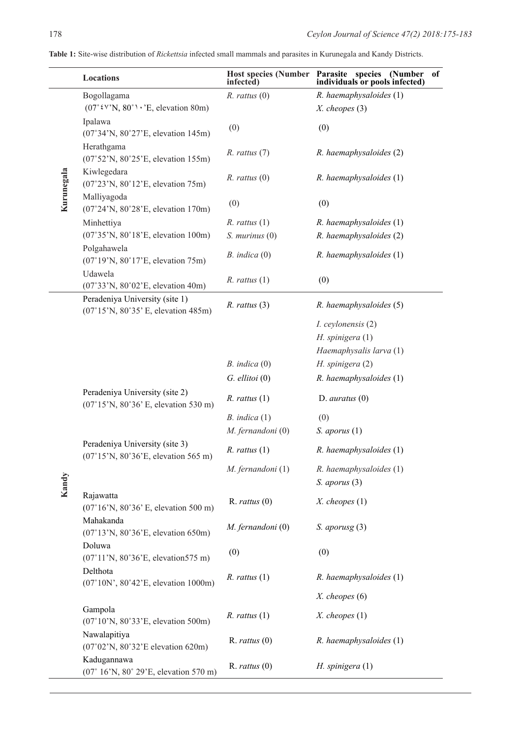**Table 1:** Site-wise distribution of *Rickettsia* infected small mammals and parasites in Kurunegala and Kandy Districts.

|            | Locations                                                                            | <b>Host species (Number</b><br>infected) | Parasite species<br>(Number<br>of<br>individuals or pools infected) |
|------------|--------------------------------------------------------------------------------------|------------------------------------------|---------------------------------------------------------------------|
|            | Bogollagama                                                                          | $R.$ rattus $(0)$                        | R. haemaphysaloides (1)                                             |
|            | $(07°^{\circ}$ k V'N, $80°^{\circ}$ · 'E, elevation 80m)                             |                                          | $X.$ cheopes $(3)$                                                  |
|            | Ipalawa<br>(07°34'N, 80°27'E, elevation 145m)                                        | (0)                                      | (0)                                                                 |
|            | Herathgama<br>(07°52'N, 80°25'E, elevation 155m)                                     | $R.$ rattus $(7)$                        | R. haemaphysaloides (2)                                             |
| Kurunegala | Kiwlegedara<br>(07°23'N, 80°12'E, elevation 75m)                                     | $R.$ rattus $(0)$                        | $R.$ haemaphysaloides $(1)$                                         |
|            | Malliyagoda<br>(07°24'N, 80°28'E, elevation 170m)                                    | (0)                                      | (0)                                                                 |
|            | Minhettiya                                                                           | $R.$ rattus $(1)$                        | R. haemaphysaloides (1)                                             |
|            | (07°35'N, 80°18'E, elevation 100m)                                                   | $S.$ murinus $(0)$                       | R. haemaphysaloides (2)                                             |
|            | Polgahawela<br>(07°19'N, 80°17'E, elevation 75m)                                     | $B.$ indica $(0)$                        | R. haemaphysaloides (1)                                             |
|            | Udawela<br>(07°33'N, 80°02'E, elevation 40m)                                         | $R.$ rattus $(1)$                        | (0)                                                                 |
|            | Peradeniya University (site 1)<br>$(07^{\circ}15'N, 80^{\circ}35'E,$ elevation 485m) | $R.$ rattus $(3)$                        | R. haemaphysaloides (5)                                             |
|            |                                                                                      |                                          | I. ceylonensis (2)                                                  |
|            |                                                                                      |                                          | $H.$ spinigera $(1)$                                                |
|            |                                                                                      |                                          | Haemaphysalis larva (1)                                             |
|            |                                                                                      | $B.$ indica $(0)$                        | H. spinigera (2)                                                    |
|            |                                                                                      | $G.$ ellitoi $(0)$                       | R. haemaphysaloides (1)                                             |
|            | Peradeniya University (site 2)<br>(07°15'N, 80°36'E, elevation 530 m)                | $R.$ rattus $(1)$                        | $D.$ auratus $(0)$                                                  |
|            |                                                                                      | $B.$ indica $(1)$                        | (0)                                                                 |
|            |                                                                                      | M. fernandoni (0)                        | $S.$ aporus $(1)$                                                   |
|            | Peradeniya University (site 3)<br>(07°15'N, 80°36'E, elevation 565 m)                | $R.$ rattus $(1)$                        | R. haemaphysaloides (1)                                             |
| Kandy      |                                                                                      | M. fernandoni (1)                        | R. haemaphysaloides (1)<br>$S.$ aporus $(3)$                        |
|            | Rajawatta<br>$(07^{\circ}16'$ N, $80^{\circ}36'$ E, elevation 500 m)                 | $R.$ rattus $(0)$                        | $X.$ cheopes $(1)$                                                  |
|            | Mahakanda<br>(07°13'N, 80°36'E, elevation 650m)                                      | M. fernandoni (0)                        | $S.$ aporusg $(3)$                                                  |
|            | Doluwa<br>(07°11'N, 80°36'E, elevation575 m)                                         | (0)                                      | (0)                                                                 |
|            | Delthota<br>(07°10N', 80°42'E, elevation 1000m)                                      | $R.$ rattus $(1)$                        | R. haemaphysaloides (1)                                             |
|            |                                                                                      |                                          | $X.$ cheopes $(6)$                                                  |
|            | Gampola<br>(07°10'N, 80°33'E, elevation 500m)                                        | $R.$ rattus $(1)$                        | $X.$ cheopes $(1)$                                                  |
|            | Nawalapitiya<br>$(07°02'N, 80°32'E$ elevation 620m)                                  | $R.$ rattus $(0)$                        | R. haemaphysaloides (1)                                             |
|            | Kadugannawa<br>(07° 16'N, 80° 29'E, elevation 570 m)                                 | $R.$ rattus $(0)$                        | $H.$ spinigera $(1)$                                                |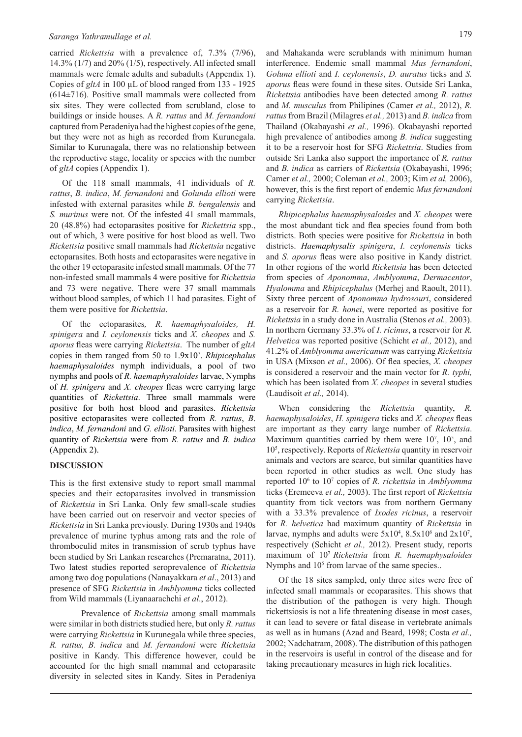carried *Rickettsia* with a prevalence of, 7.3% (7/96), 14.3% (1/7) and 20% (1/5), respectively. All infected small mammals were female adults and subadults (Appendix 1). Copies of *gltA* in 100 µL of blood ranged from 133 - 1925 (614±716). Positive small mammals were collected from six sites. They were collected from scrubland, close to buildings or inside houses. A *R. rattus* and *M. fernandoni*  captured from Peradeniya had the highest copies of the gene, but they were not as high as recorded from Kurunegala. Similar to Kurunagala, there was no relationship between the reproductive stage, locality or species with the number of *gltA* copies (Appendix 1).

Of the 118 small mammals, 41 individuals of *R. rattus*, *B. indica*, *M. fernandoni* and *Golunda ellioti* were infested with external parasites while *B. bengalensis* and *S. murinus* were not. Of the infested 41 small mammals, 20 (48.8%) had ectoparasites positive for *Rickettsia* spp., out of which, 3 were positive for host blood as well. Two *Rickettsia* positive small mammals had *Rickettsia* negative ectoparasites. Both hosts and ectoparasites were negative in the other 19 ectoparasite infested small mammals. Of the 77 non-infested small mammals 4 were positive for *Rickettsia* and 73 were negative. There were 37 small mammals without blood samples, of which 11 had parasites. Eight of them were positive for *Rickettsia*.

Of the ectoparasites*, R. haemaphysaloides, H. spinigera* and *I. ceylonensis* ticks and *X. cheopes* and *S. aporus* fleas were carrying *Rickettsia*. The number of *gltA*  copies in them ranged from 50 to 1.9x107 . *Rhipicephalus haemaphysaloides* nymph individuals, a pool of two nymphs and pools of *R. haemaphysaloides* larvae, Nymphs of *H. spinigera* and *X. cheopes* fleas were carrying large quantities of *Rickettsia*. Three small mammals were positive for both host blood and parasites. *Rickettsia* positive ectoparasites were collected from *R. rattus*, *B*. *indica*, *M. fernandoni* and *G. ellioti*. Parasites with highest quantity of *Rickettsia* were from *R. rattus* and *B. indica* (Appendix 2).

#### **DISCUSSION**

This is the first extensive study to report small mammal species and their ectoparasites involved in transmission of *Rickettsia* in Sri Lanka. Only few small-scale studies have been carried out on reservoir and vector species of *Rickettsia* in Sri Lanka previously. During 1930s and 1940s prevalence of murine typhus among rats and the role of thromboculid mites in transmission of scrub typhus have been studied by Sri Lankan researches (Premaratna, 2011). Two latest studies reported seroprevalence of *Rickettsia*  among two dog populations (Nanayakkara *et al*., 2013) and presence of SFG *Rickettsia* in *Amblyomma* ticks collected from Wild mammals (Liyanaarachchi *et al*., 2012).

Prevalence of *Rickettsia* among small mammals were similar in both districts studied here, but only *R. rattus* were carrying *Rickettsia* in Kurunegala while three species, *R. rattus, B. indica* and *M. fernandoni* were *Rickettsia* positive in Kandy. This difference however, could be accounted for the high small mammal and ectoparasite diversity in selected sites in Kandy. Sites in Peradeniya interference. Endemic small mammal *Mus fernandoni*, *Goluna ellioti* and *I. ceylonensis*, *D. auratus* ticks and *S. aporus* fleas were found in these sites. Outside Sri Lanka, *Rickettsia* antibodies have been detected among *R. rattus*  and *M. musculus* from Philipines (Camer *et al.,* 2012), *R. rattus* from Brazil (Milagres *et al.,* 2013) and *B. indica* from Thailand (Okabayashi *et al.,* 1996). Okabayashi reported high prevalence of antibodies among *B. indica* suggesting it to be a reservoir host for SFG *Rickettsia*. Studies from outside Sri Lanka also support the importance of *R. rattus* and *B. indica* as carriers of *Rickettsia* (Okabayashi, 1996; Camer *et al.,* 2000; Coleman *et al.,* 2003; Kim *et al,* 2006), however, this is the first report of endemic *Mus fernandoni* carrying *Rickettsia*.

*Rhipicephalus haemaphysaloides* and *X. cheopes* were the most abundant tick and flea species found from both districts. Both species were positive for *Rickettsia* in both districts. *Haemaphysalis spinigera*, *I. ceylonensis* ticks and *S. aporus* fleas were also positive in Kandy district. In other regions of the world *Rickettsia* has been detected from species of *Aponomma*, *Amblyomma*, *Dermacentor*, *Hyalomma* and *Rhipicephalus* (Merhej and Raoult, 2011). Sixty three percent of *Aponomma hydrosouri*, considered as a reservoir for *R. honei*, were reported as positive for *Rickettsia* in a study done in Australia (Stenos *et al.,* 2003). In northern Germany 33.3% of *I. ricinus*, a reservoir for *R. Helvetica* was reported positive (Schicht *et al.,* 2012), and 41.2% of *Amblyomma americanum* was carrying *Rickettsia* in USA (Mixson *et al.,* 2006). Of flea species, *X. cheopes* is considered a reservoir and the main vector for *R. typhi,*  which has been isolated from *X. cheopes* in several studies (Laudisoit *et al.,* 2014).

When considering the *Rickettsia* quantity, *R. haemaphysaloides*, *H. spinigera* ticks and *X. cheopes* fleas are important as they carry large number of *Rickettsia*. Maximum quantities carried by them were  $10^7$ ,  $10^5$ , and 105 , respectively. Reports of *Rickettsia* quantity in reservoir animals and vectors are scarce, but similar quantities have been reported in other studies as well. One study has reported 106 to 107 copies of *R. rickettsia* in *Amblyomma* ticks (Eremeeva *et al.,* 2003). The first report of *Rickettsia* quantity from tick vectors was from northern Germany with a 33.3% prevalence of *Ixodes ricinus*, a reservoir for *R. helvetica* had maximum quantity of *Rickettsia* in larvae, nymphs and adults were  $5x10^4$ ,  $8.5x10^6$  and  $2x10^7$ , respectively (Schicht *et al.,* 2012). Present study, reports maximum of 107 *Rickettsia* from *R. haemaphysaloides*  Nymphs and 10<sup>5</sup> from larvae of the same species..

Of the 18 sites sampled, only three sites were free of infected small mammals or ecoparasites. This shows that the distribution of the pathogen is very high. Though rickettsiosis is not a life threatening disease in most cases, it can lead to severe or fatal disease in vertebrate animals as well as in humans (Azad and Beard, 1998; Costa *et al.,* 2002; Nadchatram, 2008). The distribution of this pathogen in the reservoirs is useful in control of the disease and for taking precautionary measures in high rick localities.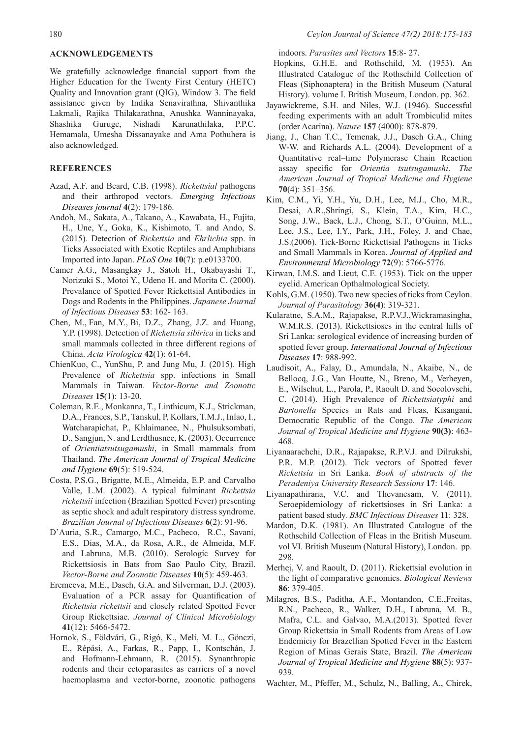#### **ACKNOWLEDGEMENTS**

We gratefully acknowledge financial support from the Higher Education for the Twenty First Century (HETC) Quality and Innovation grant (QIG), Window 3. The field assistance given by Indika Senavirathna, Shivanthika Lakmali, Rajika Thilakarathna, Anushka Wanninayaka, Shashika Guruge, Nishadi Karunathilaka, P.P.C. Hemamala, Umesha Dissanayake and Ama Pothuhera is also acknowledged.

## **REFERENCES**

- Azad, A.F. and Beard, C.B. (1998). *Rickettsial* pathogens and their arthropod vectors. *Emerging Infectious Diseases journal* **4**(2): 179-186.
- Andoh, M., Sakata, A., Takano, A., Kawabata, H., Fujita, H., Une, Y., Goka, K., Kishimoto, T. and Ando, S. (2015). Detection of *Rickettsia* and *Ehrlichia* spp. in Ticks Associated with Exotic Reptiles and Amphibians Imported into Japan. *PLoS One* **10**(7): p.e0133700.
- Camer A.G., Masangkay J., Satoh H., Okabayashi T., Norizuki S., Motoi Y., Udeno H. and Morita C. (2000). Prevalance of Spotted Fever Rickettsial Antibodies in Dogs and Rodents in the Philippines. *Japanese Journal of Infectious Diseases* **53**: 162- 163.
- Chen, M., Fan, M.Y., Bi, D.Z., Zhang, J.Z. and Huang, Y.P. (1998). Detection of *Rickettsia sibirica* in ticks and small mammals collected in three different regions of China. *Acta Virologica* **42**(1): 61-64.
- ChienKuo, C., YunShu, P. and Jung Mu, J. (2015). High Prevalence of *Rickettsia* spp. infections in Small Mammals in Taiwan. *Vector-Borne and Zoonotic Diseases* **15**(1): 13-20.
- Coleman, R.E., Monkanna, T., Linthicum, K.J., Strickman, D.A., Frances, S.P., Tanskul, P, Kollars, T.M.J., Inlao, I., Watcharapichat, P., Khlaimanee, N., Phulsuksombati, D., Sangjun, N. and Lerdthusnee, K. (2003). Occurrence of *Orientiatsutsugamushi*, in Small mammals from Thailand. *The American Journal of Tropical Medicine and Hygiene* **69**(5): 519-524.
- Costa, P.S.G., Brigatte, M.E., Almeida, E.P. and Carvalho Valle, L.M. (2002). A typical fulminant *Rickettsia rickettsii* infection (Brazilian Spotted Fever) presenting as septic shock and adult respiratory distress syndrome. *Brazilian Journal of Infectious Diseases* **6**(2): 91-96.
- D'Auria, S.R., Camargo, M.C., Pacheco, R.C., Savani, E.S., Dias, M.A., da Rosa, A.R., de Almeida, M.F. and Labruna, M.B. (2010). Serologic Survey for Rickettsiosis in Bats from Sao Paulo City, Brazil. *Vector-Borne and Zoonotic Diseases* **10**(5): 459-463.
- Eremeeva, M.E., Dasch, G.A. and Silverman, D.J. (2003). Evaluation of a PCR assay for Quantification of *Rickettsia rickettsii* and closely related Spotted Fever Group Rickettsiae. *Journal of Clinical Microbiology* **41**(12): 5466-5472.
- Hornok, S., Földvári, G., Rigó, K., Meli, M. L., Gönczi, E., Répási, A., Farkas, R., Papp, I., Kontschán, J. and Hofmann-Lehmann, R. (2015). Synanthropic rodents and their ectoparasites as carriers of a novel haemoplasma and vector-borne, zoonotic pathogens

indoors. *Parasites and Vectors* **15**:8- 27.

- Hopkins, G.H.E. and Rothschild, M. (1953). An Illustrated Catalogue of the Rothschild Collection of Fleas (Siphonaptera) in the British Museum (Natural History). volume I. British Museum, London. pp. 362.
- Jayawickreme, S.H. and Niles, W.J. (1946). Successful feeding experiments with an adult Trombiculid mites (order Acarina). *Nature* **157** (4000): 878-879.
- Jiang, J., Chan T.C., Temenak, J.J., Dasch G.A., Ching W-W. and Richards A.L. (2004). Development of a Quantitative real–time Polymerase Chain Reaction assay specific for *Orientia tsutsugamushi*. *The American Journal of Tropical Medicine and Hygiene* **70**(4): 351–356.
- Kim, C.M., Yi, Y.H., Yu, D.H., Lee, M.J., Cho, M.R., Desai, A.R.,Shringi, S., Klein, T.A., Kim, H.C., Song, J.W., Baek, L.J., Chong, S.T., O'Guinn, M.L., Lee, J.S., Lee, I.Y., Park, J.H., Foley, J. and Chae, J.S.(2006). Tick-Borne Rickettsial Pathogens in Ticks and Small Mammals in Korea. *Journal of Applied and Environmental Microbiology* **72**(9): 5766-5776.
- Kirwan, I.M.S. and Lieut, C.E. (1953). Tick on the upper eyelid. American Opthalmological Society.
- Kohls, G.M. (1950). Two new species of ticks from Ceylon. *Journal of Parasitology* **36(4)**: 319-321.
- Kularatne, S.A.M., Rajapakse, R.P.V.J.,Wickramasingha, W.M.R.S. (2013). Rickettsioses in the central hills of Sri Lanka: serological evidence of increasing burden of spotted fever group. *International Journal of Infectious Diseases* **17**: 988-992.
- Laudisoit, A., Falay, D., Amundala, N., Akaibe, N., de Bellocq, J.G., Van Houtte, N., Breno, M., Verheyen, E., Wilschut, L., Parola, P., Raoult D. and Socolovschi, C. (2014). High Prevalence of *Rickettsiatyphi* and *Bartonella* Species in Rats and Fleas, Kisangani, Democratic Republic of the Congo. *The American Journal of Tropical Medicine and Hygiene* **90(3)**: 463- 468.
- Liyanaarachchi, D.R., Rajapakse, R.P.V.J. and Dilrukshi, P.R. M.P. (2012). Tick vectors of Spotted fever *Rickettsia* in Sri Lanka. *Book of abstracts of the Peradeniya University Research Sessions* **17**: 146.
- Liyanapathirana, V.C. and Thevanesam, V. (2011). Seroepidemiology of rickettsioses in Sri Lanka: a patient based study. *BMC Infectious Diseases* **11**: 328.
- Mardon, D.K. (1981). An Illustrated Catalogue of the Rothschild Collection of Fleas in the British Museum. vol VI. British Museum (Natural History), London. pp. 298.
- Merhej, V. and Raoult, D. (2011). Rickettsial evolution in the light of comparative genomics. *Biological Reviews* **86**: 379-405.
- Milagres, B.S., Paditha, A.F., Montandon, C.E.,Freitas, R.N., Pacheco, R., Walker, D.H., Labruna, M. B., Mafra, C.L. and Galvao, M.A.(2013). Spotted fever Group Rickettsia in Small Rodents from Areas of Low Endemiciy for Brazellian Spotted Fever in the Eastern Region of Minas Gerais State, Brazil. *The American Journal of Tropical Medicine and Hygiene* **88**(5): 937- 939.
- Wachter, M., Pfeffer, M., Schulz, N., Balling, A., Chirek,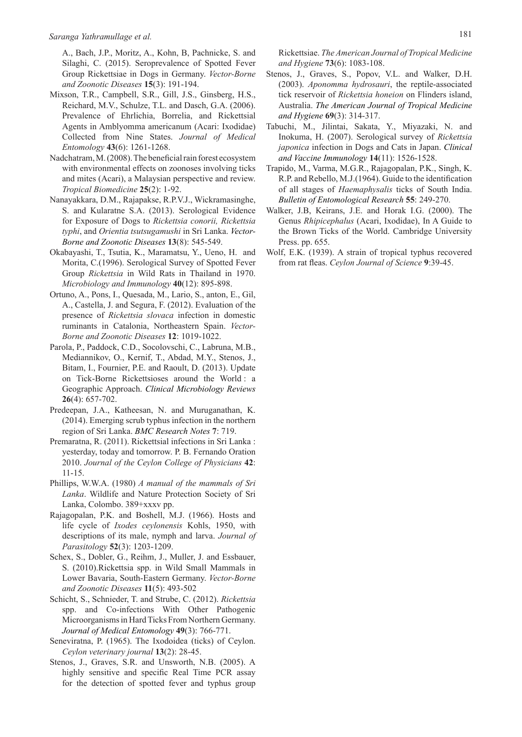A., Bach, J.P., Moritz, A., Kohn, B, Pachnicke, S. and Silaghi, C. (2015). Seroprevalence of Spotted Fever Group Rickettsiae in Dogs in Germany. *Vector-Borne and Zoonotic Diseases* **15**(3): 191-194.

- Mixson, T.R., Campbell, S.R., Gill, J.S., Ginsberg, H.S., Reichard, M.V., Schulze, T.L. and Dasch, G.A. (2006). Prevalence of Ehrlichia, Borrelia, and Rickettsial Agents in Amblyomma americanum (Acari: Ixodidae) Collected from Nine States. *Journal of Medical Entomology* **43**(6): 1261-1268.
- Nadchatram, M. (2008). The beneficial rain forest ecosystem with environmental effects on zoonoses involving ticks and mites (Acari), a Malaysian perspective and review. *Tropical Biomedicine* **25**(2): 1-92.
- Nanayakkara, D.M., Rajapakse, R.P.V.J., Wickramasinghe, S. and Kularatne S.A. (2013). Serological Evidence for Exposure of Dogs to *Rickettsia conorii, Rickettsia typhi*, and *Orientia tsutsugamushi* in Sri Lanka. *Vector-Borne and Zoonotic Diseases* **13**(8): 545-549.
- Okabayashi, T., Tsutia, K., Maramatsu, Y., Ueno, H. and Morita, C.(1996). Serological Survey of Spotted Fever Group *Rickettsia* in Wild Rats in Thailand in 1970. *Microbiology and Immunology* **40**(12): 895-898.
- Ortuno, A., Pons, I., Quesada, M., Lario, S., anton, E., Gil, A., Castella, J. and Segura, F. (2012). Evaluation of the presence of *Rickettsia slovaca* infection in domestic ruminants in Catalonia, Northeastern Spain. *Vector-Borne and Zoonotic Diseases* **12**: 1019-1022.
- Parola, P., Paddock, C.D., Socolovschi, C., Labruna, M.B., Mediannikov, O., Kernif, T., Abdad, M.Y., Stenos, J., Bitam, I., Fournier, P.E. and Raoult, D. (2013). Update on Tick-Borne Rickettsioses around the World : a Geographic Approach. *Clinical Microbiology Reviews* **26**(4): 657-702.
- Predeepan, J.A., Katheesan, N. and Muruganathan, K. (2014). Emerging scrub typhus infection in the northern region of Sri Lanka. *BMC Research Notes* **7**: 719.
- Premaratna, R. (2011). Rickettsial infections in Sri Lanka : yesterday, today and tomorrow. P. B. Fernando Oration 2010. *Journal of the Ceylon College of Physicians* **42**: 11-15.
- Phillips, W.W.A. (1980) *A manual of the mammals of Sri Lanka*. Wildlife and Nature Protection Society of Sri Lanka, Colombo. 389+xxxv pp.
- Rajagopalan, P.K. and Boshell, M.J. (1966). Hosts and life cycle of *Ixodes ceylonensis* Kohls, 1950, with descriptions of its male, nymph and larva. *Journal of Parasitology* **52**(3): 1203-1209.
- Schex, S., Dobler, G., Reihm, J., Muller, J. and Essbauer, S. (2010).Rickettsia spp. in Wild Small Mammals in Lower Bavaria, South-Eastern Germany. *Vector-Borne and Zoonotic Diseases* **11**(5): 493-502
- Schicht, S., Schnieder, T. and Strube, C. (2012). *Rickettsia* spp. and Co-infections With Other Pathogenic Microorganisms in Hard Ticks From Northern Germany. *Journal of Medical Entomology* **49**(3): 766-771.
- Seneviratna, P. (1965). The Ixodoidea (ticks) of Ceylon. *Ceylon veterinary journal* **13**(2): 28-45.
- Stenos, J., Graves, S.R. and Unsworth, N.B. (2005). A highly sensitive and specific Real Time PCR assay for the detection of spotted fever and typhus group

Rickettsiae. *The American Journal of Tropical Medicine and Hygiene* **73**(6): 1083-108.

- Stenos, J., Graves, S., Popov, V.L. and Walker, D.H. (2003). *Aponomma hydrosauri*, the reptile-associated tick reservoir of *Rickettsia honeion* on Flinders island, Australia. *The American Journal of Tropical Medicine and Hygiene* **69**(3): 314-317.
- Tabuchi, M., Jilintai, Sakata, Y., Miyazaki, N. and Inokuma, H. (2007). Serological survey of *Rickettsia japonica* infection in Dogs and Cats in Japan. *Clinical and Vaccine Immunology* **14**(11): 1526-1528.
- Trapido, M., Varma, M.G.R., Rajagopalan, P.K., Singh, K. R.P. and Rebello, M.J.(1964). Guide to the identification of all stages of *Haemaphysalis* ticks of South India. *Bulletin of Entomological Research* **55**: 249-270.
- Walker, J.B, Keirans, J.E. and Horak I.G. (2000). The Genus *Rhipicephalus* (Acari, Ixodidae), In A Guide to the Brown Ticks of the World. Cambridge University Press. pp. 655.
- Wolf, E.K. (1939). A strain of tropical typhus recovered from rat fleas. *Ceylon Journal of Science* **9**:39-45.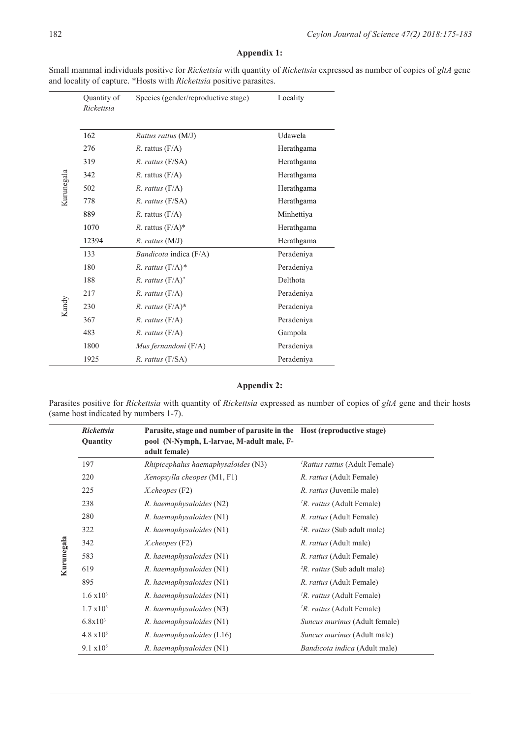# **Appendix 1:**

|            | Quantity of<br>Rickettsia | Species (gender/reproductive stage) | Locality   |
|------------|---------------------------|-------------------------------------|------------|
|            | 162                       | Rattus rattus (M/J)                 | Udawela    |
|            | 276                       | $R$ . rattus $(F/A)$                | Herathgama |
|            | 319                       | R. rattus (F/SA)                    | Herathgama |
|            | 342                       | <i>R.</i> rattus $(F/A)$            | Herathgama |
| Kurunegala | 502                       | $R.$ rattus $(F/A)$                 | Herathgama |
|            | 778                       | R. rattus (F/SA)                    | Herathgama |
|            | 889                       | $R.$ rattus $(F/A)$                 | Minhettiya |
|            | 1070                      | $R.$ rattus $(F/A)^*$               | Herathgama |
|            | 12394                     | $R.$ rattus $(M/J)$                 | Herathgama |
|            | 133                       | Bandicota indica (F/A)              | Peradeniya |
|            | 180                       | R. rattus $(F/A)^*$                 | Peradeniya |
|            | 188                       | $R.$ rattus $(F/A)^*$               | Delthota   |
|            | 217                       | $R.$ rattus $(F/A)$                 | Peradeniya |
| Kandy      | 230                       | R. rattus $(F/A)^*$                 | Peradeniya |
|            | 367                       | $R.$ rattus $(F/A)$                 | Peradeniya |
|            | 483                       | $R.$ rattus $(F/A)$                 | Gampola    |
|            | 1800                      | Mus fernandoni $(F/A)$              | Peradeniya |
|            | 1925                      | R. rattus (F/SA)                    | Peradeniya |

Small mammal individuals positive for *Rickettsia* with quantity of *Rickettsia* expressed as number of copies of *gltA* gene and locality of capture. \*Hosts with *Rickettsia* positive parasites.

# **Appendix 2:**

Parasites positive for *Rickettsia* with quantity of *Rickettsia* expressed as number of copies of *gltA* gene and their hosts (same host indicated by numbers 1-7).

|            | <b>Rickettsia</b><br>Quantity | Parasite, stage and number of parasite in the Host (reproductive stage)<br>pool (N-Nymph, L-larvae, M-adult male, F-<br>adult female) |                                                |
|------------|-------------------------------|---------------------------------------------------------------------------------------------------------------------------------------|------------------------------------------------|
| Kurunegala | 197                           | <i>Rhipicephalus haemaphysaloides</i> (N3)                                                                                            | <i>'Rattus rattus</i> (Adult Female)           |
|            | 220                           | Xenopsylla cheopes (M1, F1)                                                                                                           | <i>R. rattus</i> (Adult Female)                |
|            | 225                           | $X$ .cheopes (F2)                                                                                                                     | <i>R. rattus</i> (Juvenile male)               |
|            | 238                           | $R.$ haemaphysaloides $(N2)$                                                                                                          | <sup>1</sup> R. <i>rattus</i> (Adult Female)   |
|            | 280                           | $R.$ haemaphysaloides $(N1)$                                                                                                          | <i>R. rattus</i> (Adult Female)                |
|            | 322                           | R. haemaphysaloides (N1)                                                                                                              | <sup>2</sup> R. <i>rattus</i> (Sub adult male) |
|            | 342                           | $X$ .cheopes (F2)                                                                                                                     | <i>R. rattus</i> (Adult male)                  |
|            | 583                           | $R.$ haemaphysaloides $(N1)$                                                                                                          | <i>R. rattus</i> (Adult Female)                |
|            | 619                           | $R.$ haemaphysaloides $(N1)$                                                                                                          | <sup>2</sup> R. <i>rattus</i> (Sub adult male) |
|            | 895                           | R. haemaphysaloides (N1)                                                                                                              | <i>R. rattus</i> (Adult Female)                |
|            | $1.6 \times 10^3$             | R. haemaphysaloides (N1)                                                                                                              | <sup>1</sup> R. <i>rattus</i> (Adult Female)   |
|            | $1.7 \times 10^3$             | R. haemaphysaloides (N3)                                                                                                              | <sup>1</sup> R. rattus (Adult Female)          |
|            | $6.8x10^3$                    | $R.$ haemaphysaloides $(N1)$                                                                                                          | Suncus murinus (Adult female)                  |
|            | $4.8 \times 10^5$             | $R.$ haemaphysaloides (L16)                                                                                                           | Suncus murinus (Adult male)                    |
|            | $9.1 \times 10^5$             | R. haemaphysaloides (N1)                                                                                                              | <i>Bandicota indica</i> (Adult male)           |